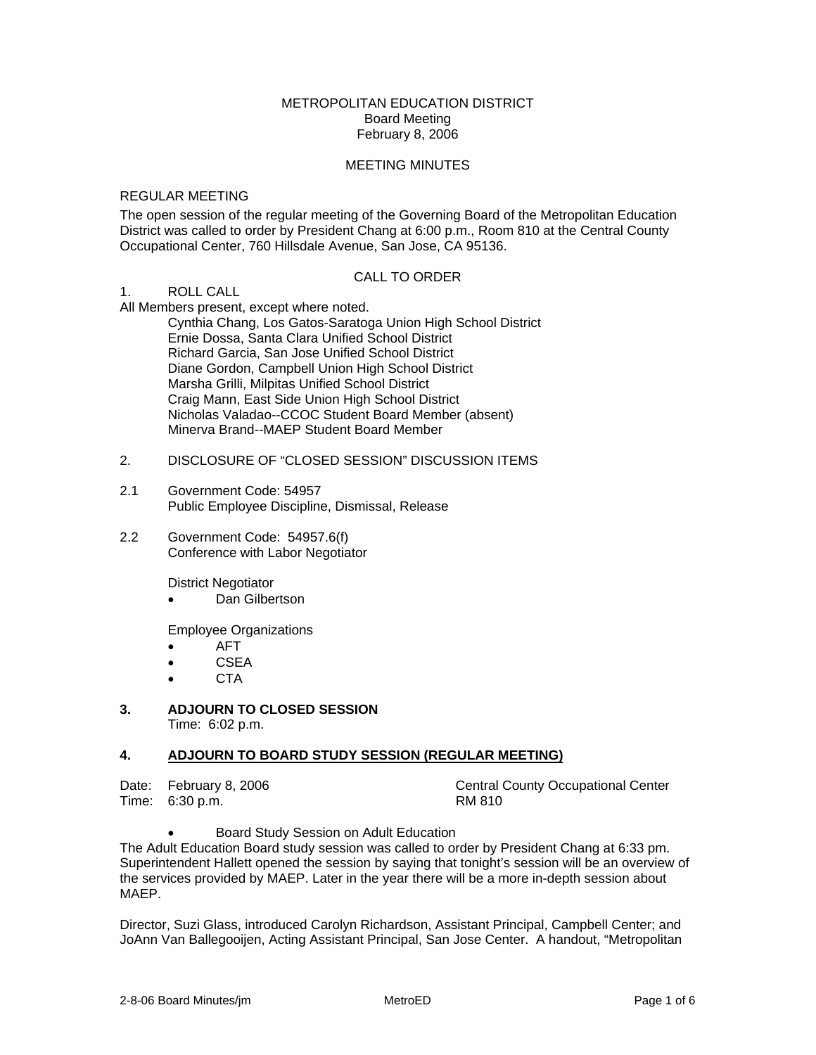#### METROPOLITAN EDUCATION DISTRICT Board Meeting February 8, 2006

#### MEETING MINUTES

#### REGULAR MEETING

The open session of the regular meeting of the Governing Board of the Metropolitan Education District was called to order by President Chang at 6:00 p.m., Room 810 at the Central County Occupational Center, 760 Hillsdale Avenue, San Jose, CA 95136.

#### CALL TO ORDER

### 1. ROLL CALL

All Members present, except where noted.

 Cynthia Chang, Los Gatos-Saratoga Union High School District Ernie Dossa, Santa Clara Unified School District Richard Garcia, San Jose Unified School District Diane Gordon, Campbell Union High School District Marsha Grilli, Milpitas Unified School District Craig Mann, East Side Union High School District Nicholas Valadao--CCOC Student Board Member (absent) Minerva Brand--MAEP Student Board Member

#### 2. DISCLOSURE OF "CLOSED SESSION" DISCUSSION ITEMS

- 2.1 Government Code: 54957 Public Employee Discipline, Dismissal, Release
- 2.2 Government Code: 54957.6(f) Conference with Labor Negotiator

District Negotiator

• Dan Gilbertson

Employee Organizations

- AFT
- CSEA
- CTA

# **3. ADJOURN TO CLOSED SESSION**

Time: 6:02 p.m.

#### **4. ADJOURN TO BOARD STUDY SESSION (REGULAR MEETING)**

Time: 6:30 p.m. RM 810

Date: February 8, 2006 Central County Occupational Center

• Board Study Session on Adult Education

The Adult Education Board study session was called to order by President Chang at 6:33 pm. Superintendent Hallett opened the session by saying that tonight's session will be an overview of the services provided by MAEP. Later in the year there will be a more in-depth session about MAEP.

Director, Suzi Glass, introduced Carolyn Richardson, Assistant Principal, Campbell Center; and JoAnn Van Ballegooijen, Acting Assistant Principal, San Jose Center. A handout, "Metropolitan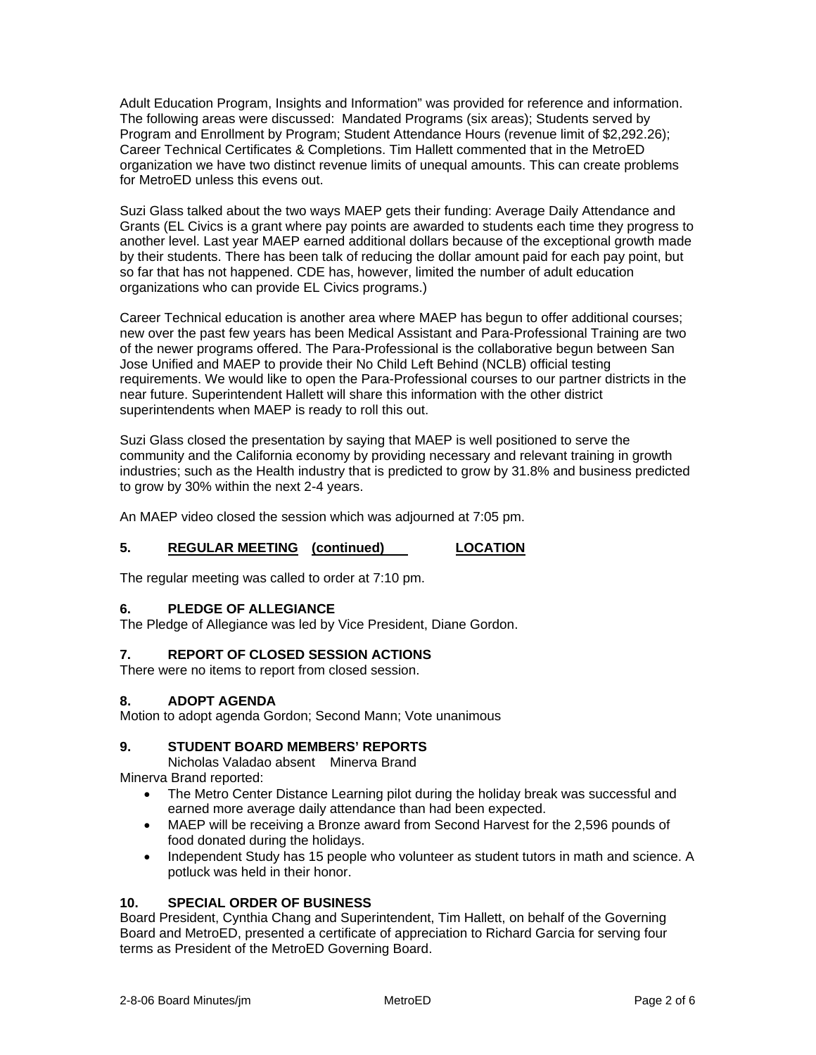Adult Education Program, Insights and Information" was provided for reference and information. The following areas were discussed: Mandated Programs (six areas); Students served by Program and Enrollment by Program; Student Attendance Hours (revenue limit of \$2,292.26); Career Technical Certificates & Completions. Tim Hallett commented that in the MetroED organization we have two distinct revenue limits of unequal amounts. This can create problems for MetroED unless this evens out.

Suzi Glass talked about the two ways MAEP gets their funding: Average Daily Attendance and Grants (EL Civics is a grant where pay points are awarded to students each time they progress to another level. Last year MAEP earned additional dollars because of the exceptional growth made by their students. There has been talk of reducing the dollar amount paid for each pay point, but so far that has not happened. CDE has, however, limited the number of adult education organizations who can provide EL Civics programs.)

Career Technical education is another area where MAEP has begun to offer additional courses; new over the past few years has been Medical Assistant and Para-Professional Training are two of the newer programs offered. The Para-Professional is the collaborative begun between San Jose Unified and MAEP to provide their No Child Left Behind (NCLB) official testing requirements. We would like to open the Para-Professional courses to our partner districts in the near future. Superintendent Hallett will share this information with the other district superintendents when MAEP is ready to roll this out.

Suzi Glass closed the presentation by saying that MAEP is well positioned to serve the community and the California economy by providing necessary and relevant training in growth industries; such as the Health industry that is predicted to grow by 31.8% and business predicted to grow by 30% within the next 2-4 years.

An MAEP video closed the session which was adjourned at 7:05 pm.

# **5. REGULAR MEETING (continued) LOCATION**

The regular meeting was called to order at 7:10 pm.

# **6. PLEDGE OF ALLEGIANCE**

The Pledge of Allegiance was led by Vice President, Diane Gordon.

# **7. REPORT OF CLOSED SESSION ACTIONS**

There were no items to report from closed session.

# **8. ADOPT AGENDA**

Motion to adopt agenda Gordon; Second Mann; Vote unanimous

# **9. STUDENT BOARD MEMBERS' REPORTS**

Nicholas Valadao absent Minerva Brand

Minerva Brand reported:

- The Metro Center Distance Learning pilot during the holiday break was successful and earned more average daily attendance than had been expected.
- MAEP will be receiving a Bronze award from Second Harvest for the 2,596 pounds of food donated during the holidays.
- Independent Study has 15 people who volunteer as student tutors in math and science. A potluck was held in their honor.

# **10. SPECIAL ORDER OF BUSINESS**

Board President, Cynthia Chang and Superintendent, Tim Hallett, on behalf of the Governing Board and MetroED, presented a certificate of appreciation to Richard Garcia for serving four terms as President of the MetroED Governing Board.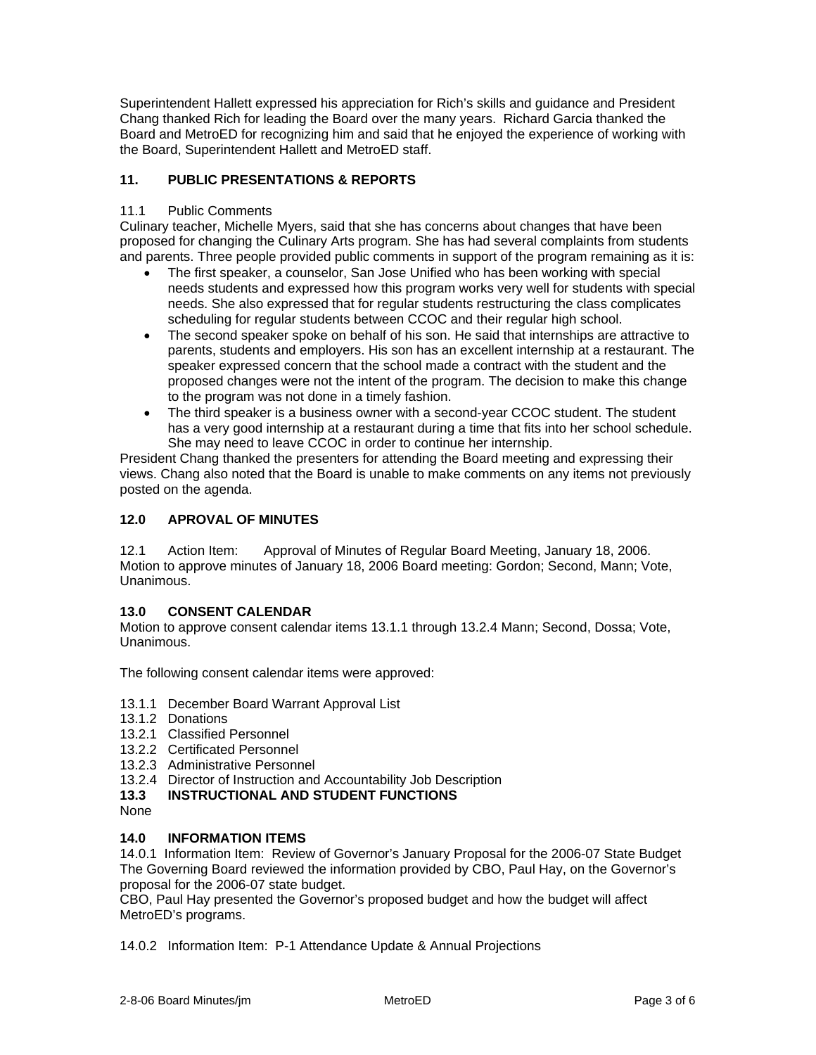Superintendent Hallett expressed his appreciation for Rich's skills and guidance and President Chang thanked Rich for leading the Board over the many years. Richard Garcia thanked the Board and MetroED for recognizing him and said that he enjoyed the experience of working with the Board, Superintendent Hallett and MetroED staff.

# **11. PUBLIC PRESENTATIONS & REPORTS**

#### 11.1 Public Comments

Culinary teacher, Michelle Myers, said that she has concerns about changes that have been proposed for changing the Culinary Arts program. She has had several complaints from students and parents. Three people provided public comments in support of the program remaining as it is:

- The first speaker, a counselor, San Jose Unified who has been working with special needs students and expressed how this program works very well for students with special needs. She also expressed that for regular students restructuring the class complicates scheduling for regular students between CCOC and their regular high school.
- The second speaker spoke on behalf of his son. He said that internships are attractive to parents, students and employers. His son has an excellent internship at a restaurant. The speaker expressed concern that the school made a contract with the student and the proposed changes were not the intent of the program. The decision to make this change to the program was not done in a timely fashion.
- The third speaker is a business owner with a second-year CCOC student. The student has a very good internship at a restaurant during a time that fits into her school schedule. She may need to leave CCOC in order to continue her internship.

President Chang thanked the presenters for attending the Board meeting and expressing their views. Chang also noted that the Board is unable to make comments on any items not previously posted on the agenda.

# **12.0 APROVAL OF MINUTES**

12.1 Action Item: Approval of Minutes of Regular Board Meeting, January 18, 2006. Motion to approve minutes of January 18, 2006 Board meeting: Gordon; Second, Mann; Vote, Unanimous.

# **13.0 CONSENT CALENDAR**

Motion to approve consent calendar items 13.1.1 through 13.2.4 Mann; Second, Dossa; Vote, Unanimous.

The following consent calendar items were approved:

- 13.1.1 December Board Warrant Approval List
- 13.1.2 Donations
- 13.2.1 Classified Personnel
- 13.2.2 Certificated Personnel
- 13.2.3 Administrative Personnel
- 13.2.4 Director of Instruction and Accountability Job Description
- **13.3 INSTRUCTIONAL AND STUDENT FUNCTIONS**
- None

#### **14.0 INFORMATION ITEMS**

14.0.1 Information Item: Review of Governor's January Proposal for the 2006-07 State Budget The Governing Board reviewed the information provided by CBO, Paul Hay, on the Governor's proposal for the 2006-07 state budget.

CBO, Paul Hay presented the Governor's proposed budget and how the budget will affect MetroED's programs.

14.0.2 Information Item: P-1 Attendance Update & Annual Projections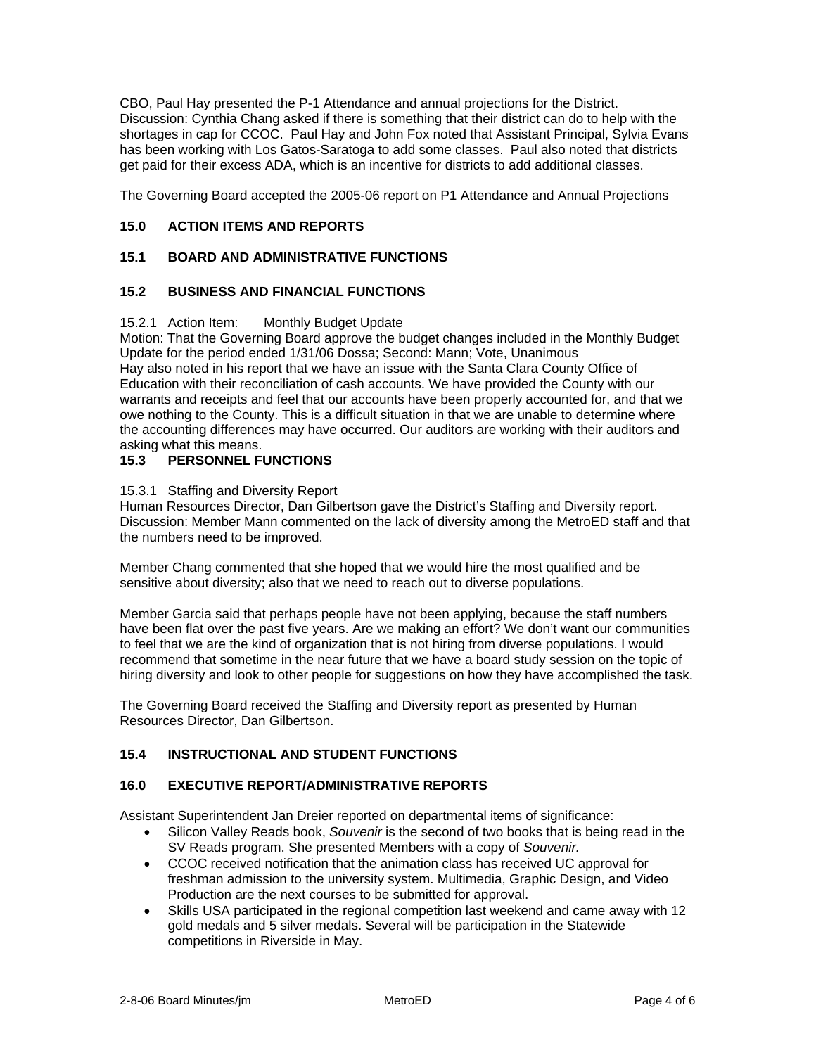CBO, Paul Hay presented the P-1 Attendance and annual projections for the District. Discussion: Cynthia Chang asked if there is something that their district can do to help with the shortages in cap for CCOC. Paul Hay and John Fox noted that Assistant Principal, Sylvia Evans has been working with Los Gatos-Saratoga to add some classes. Paul also noted that districts get paid for their excess ADA, which is an incentive for districts to add additional classes.

The Governing Board accepted the 2005-06 report on P1 Attendance and Annual Projections

# **15.0 ACTION ITEMS AND REPORTS**

# **15.1 BOARD AND ADMINISTRATIVE FUNCTIONS**

# **15.2 BUSINESS AND FINANCIAL FUNCTIONS**

#### 15.2.1 Action Item: Monthly Budget Update

Motion: That the Governing Board approve the budget changes included in the Monthly Budget Update for the period ended 1/31/06 Dossa; Second: Mann; Vote, Unanimous Hay also noted in his report that we have an issue with the Santa Clara County Office of Education with their reconciliation of cash accounts. We have provided the County with our warrants and receipts and feel that our accounts have been properly accounted for, and that we owe nothing to the County. This is a difficult situation in that we are unable to determine where the accounting differences may have occurred. Our auditors are working with their auditors and asking what this means.

### **15.3 PERSONNEL FUNCTIONS**

#### 15.3.1 Staffing and Diversity Report

Human Resources Director, Dan Gilbertson gave the District's Staffing and Diversity report. Discussion: Member Mann commented on the lack of diversity among the MetroED staff and that the numbers need to be improved.

Member Chang commented that she hoped that we would hire the most qualified and be sensitive about diversity; also that we need to reach out to diverse populations.

Member Garcia said that perhaps people have not been applying, because the staff numbers have been flat over the past five years. Are we making an effort? We don't want our communities to feel that we are the kind of organization that is not hiring from diverse populations. I would recommend that sometime in the near future that we have a board study session on the topic of hiring diversity and look to other people for suggestions on how they have accomplished the task.

The Governing Board received the Staffing and Diversity report as presented by Human Resources Director, Dan Gilbertson.

#### **15.4 INSTRUCTIONAL AND STUDENT FUNCTIONS**

#### **16.0 EXECUTIVE REPORT/ADMINISTRATIVE REPORTS**

Assistant Superintendent Jan Dreier reported on departmental items of significance:

- Silicon Valley Reads book, *Souvenir* is the second of two books that is being read in the SV Reads program. She presented Members with a copy of *Souvenir.*
- CCOC received notification that the animation class has received UC approval for freshman admission to the university system. Multimedia, Graphic Design, and Video Production are the next courses to be submitted for approval.
- Skills USA participated in the regional competition last weekend and came away with 12 gold medals and 5 silver medals. Several will be participation in the Statewide competitions in Riverside in May.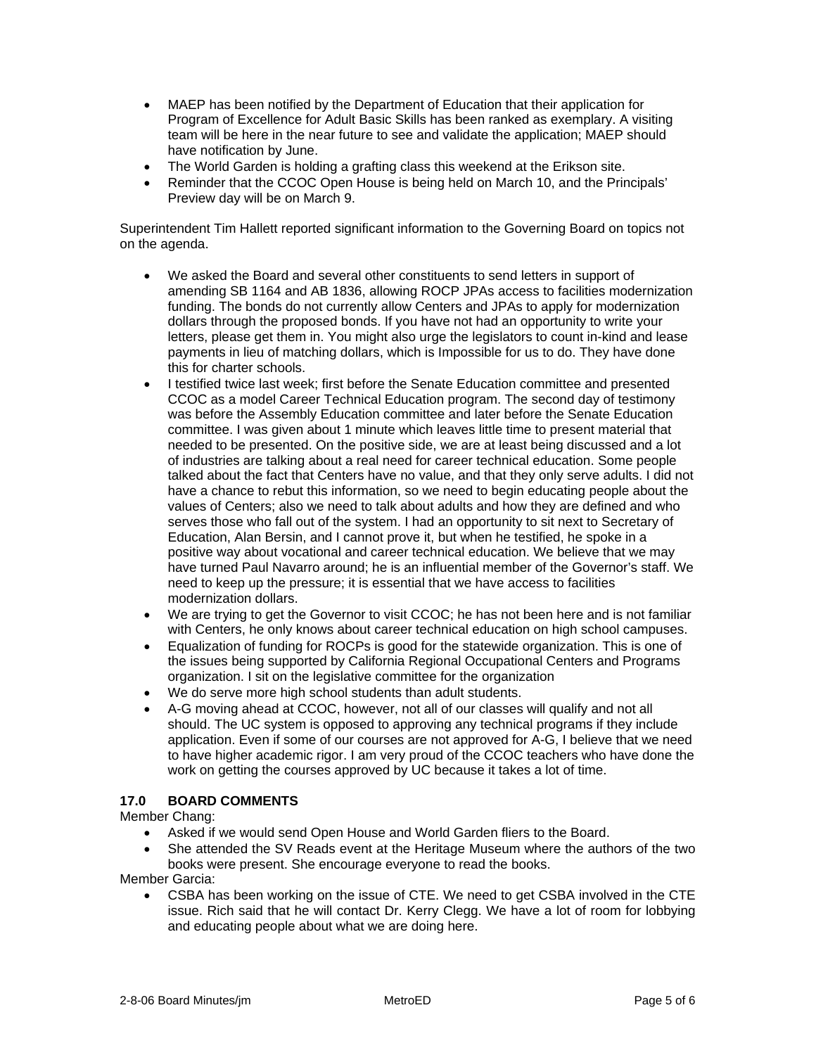- MAEP has been notified by the Department of Education that their application for Program of Excellence for Adult Basic Skills has been ranked as exemplary. A visiting team will be here in the near future to see and validate the application; MAEP should have notification by June.
- The World Garden is holding a grafting class this weekend at the Erikson site.
- Reminder that the CCOC Open House is being held on March 10, and the Principals' Preview day will be on March 9.

Superintendent Tim Hallett reported significant information to the Governing Board on topics not on the agenda.

- We asked the Board and several other constituents to send letters in support of amending SB 1164 and AB 1836, allowing ROCP JPAs access to facilities modernization funding. The bonds do not currently allow Centers and JPAs to apply for modernization dollars through the proposed bonds. If you have not had an opportunity to write your letters, please get them in. You might also urge the legislators to count in-kind and lease payments in lieu of matching dollars, which is Impossible for us to do. They have done this for charter schools.
- I testified twice last week; first before the Senate Education committee and presented CCOC as a model Career Technical Education program. The second day of testimony was before the Assembly Education committee and later before the Senate Education committee. I was given about 1 minute which leaves little time to present material that needed to be presented. On the positive side, we are at least being discussed and a lot of industries are talking about a real need for career technical education. Some people talked about the fact that Centers have no value, and that they only serve adults. I did not have a chance to rebut this information, so we need to begin educating people about the values of Centers; also we need to talk about adults and how they are defined and who serves those who fall out of the system. I had an opportunity to sit next to Secretary of Education, Alan Bersin, and I cannot prove it, but when he testified, he spoke in a positive way about vocational and career technical education. We believe that we may have turned Paul Navarro around; he is an influential member of the Governor's staff. We need to keep up the pressure; it is essential that we have access to facilities modernization dollars.
- We are trying to get the Governor to visit CCOC; he has not been here and is not familiar with Centers, he only knows about career technical education on high school campuses.
- Equalization of funding for ROCPs is good for the statewide organization. This is one of the issues being supported by California Regional Occupational Centers and Programs organization. I sit on the legislative committee for the organization
- We do serve more high school students than adult students.
- A-G moving ahead at CCOC, however, not all of our classes will qualify and not all should. The UC system is opposed to approving any technical programs if they include application. Even if some of our courses are not approved for A-G, I believe that we need to have higher academic rigor. I am very proud of the CCOC teachers who have done the work on getting the courses approved by UC because it takes a lot of time.

# **17.0 BOARD COMMENTS**

Member Chang:

- Asked if we would send Open House and World Garden fliers to the Board.
- She attended the SV Reads event at the Heritage Museum where the authors of the two books were present. She encourage everyone to read the books.

Member Garcia:

• CSBA has been working on the issue of CTE. We need to get CSBA involved in the CTE issue. Rich said that he will contact Dr. Kerry Clegg. We have a lot of room for lobbying and educating people about what we are doing here.